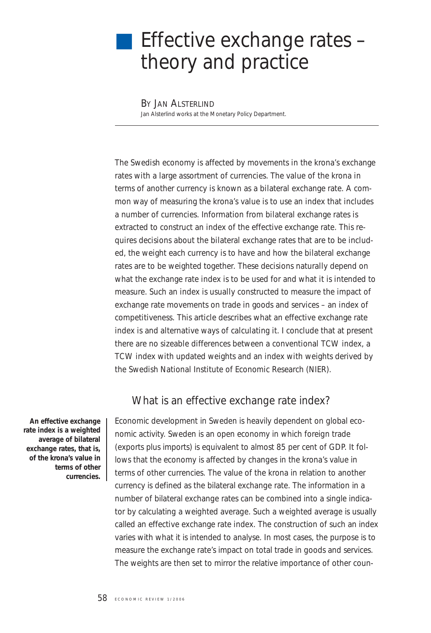# Effective exchange rates theory and practice

BY JAN ALSTERLIND Jan Alsterlind works at the Monetary Policy Department.

*The Swedish economy is affected by movements in the krona's exchange rates with a large assortment of currencies. The value of the krona in terms of another currency is known as a bilateral exchange rate. A common way of measuring the krona's value is to use an index that includes a number of currencies. Information from bilateral exchange rates is extracted to construct an index of the effective exchange rate. This requires decisions about the bilateral exchange rates that are to be included, the weight each currency is to have and how the bilateral exchange rates are to be weighted together. These decisions naturally depend on what the exchange rate index is to be used for and what it is intended to measure. Such an index is usually constructed to measure the impact of exchange rate movements on trade in goods and services – an index of competitiveness. This article describes what an effective exchange rate index is and alternative ways of calculating it. I conclude that at present there are no sizeable differences between a conventional TCW index, a TCW index with updated weights and an index with weights derived by the Swedish National Institute of Economic Research (NIER).*

#### What is an effective exchange rate index?

Economic development in Sweden is heavily dependent on global economic activity. Sweden is an open economy in which foreign trade (exports plus imports) is equivalent to almost 85 per cent of GDP. It follows that the economy is affected by changes in the krona's value in terms of other currencies. The value of the krona in relation to another currency is defined as the bilateral exchange rate. The information in a number of bilateral exchange rates can be combined into a single indicator by calculating a weighted average. Such a weighted average is usually called an *effective exchange rate index*. The construction of such an index varies with what it is intended to analyse. In most cases, the purpose is to measure the exchange rate's impact on total trade in goods and services. The weights are then set to mirror the relative importance of other coun-

**An effective exchange rate index is a weighted average of bilateral exchange rates, that is, of the krona's value in terms of other currencies.**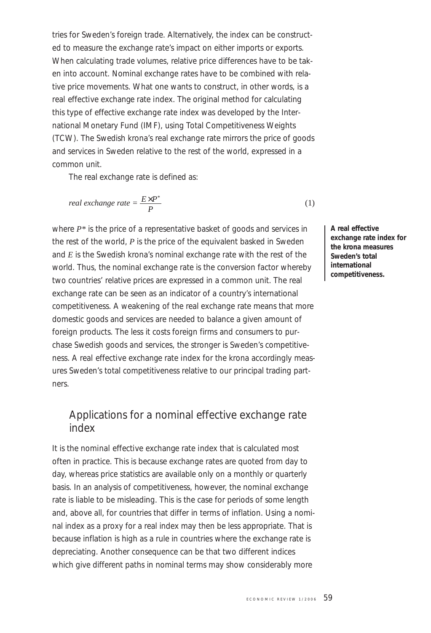tries for Sweden's foreign trade. Alternatively, the index can be constructed to measure the exchange rate's impact on either imports or exports. When calculating trade volumes, relative price differences have to be taken into account. Nominal exchange rates have to be combined with relative price movements. What one wants to construct, in other words, is a *real effective exchange rate index*. The original method for calculating this type of effective exchange rate index was developed by the International Monetary Fund (IMF), using Total Competitiveness Weights (TCW). The Swedish krona's real exchange rate mirrors the price of goods and services in Sweden relative to the rest of the world, expressed in a common unit.

The real exchange rate is defined as:

real exchange rate = 
$$
\frac{E \times P^*}{P}
$$
 (1)

where *P\** is the price of a representative basket of goods and services in the rest of the world, *P* is the price of the equivalent basked in Sweden and *E* is the Swedish krona's nominal exchange rate with the rest of the world. Thus, the nominal exchange rate is the conversion factor whereby two countries' relative prices are expressed in a common unit. The real exchange rate can be seen as an indicator of a country's international competitiveness. A weakening of the real exchange rate means that more domestic goods and services are needed to balance a given amount of foreign products. The less it costs foreign firms and consumers to purchase Swedish goods and services, the stronger is Sweden's competitiveness. A *real effective exchange rate index* for the krona accordingly measures Sweden's total competitiveness relative to our principal trading partners.

#### Applications for a nominal effective exchange rate index

It is the *nominal effective exchange rate index* that is calculated most often in practice. This is because exchange rates are quoted from day to day, whereas price statistics are available only on a monthly or quarterly basis. In an analysis of competitiveness, however, the nominal exchange rate is liable to be misleading. This is the case for periods of some length and, above all, for countries that differ in terms of inflation. Using a nominal index as a proxy for a real index may then be less appropriate. That is because inflation is high as a rule in countries where the exchange rate is depreciating. Another consequence can be that two different indices which give different paths in nominal terms may show considerably more

**A real effective exchange rate index for the krona measures Sweden's total international competitiveness.**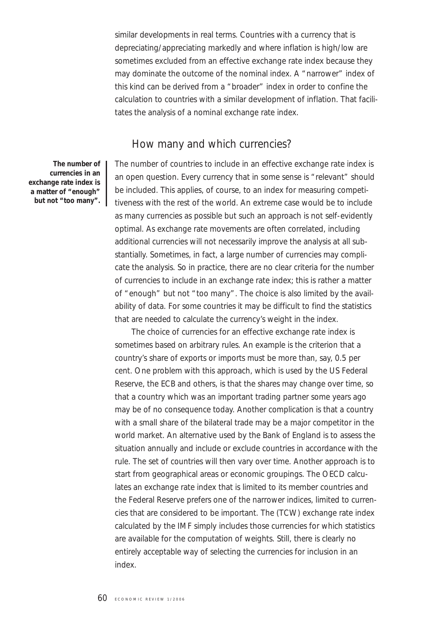similar developments in real terms. Countries with a currency that is depreciating/appreciating markedly and where inflation is high/low are sometimes excluded from an effective exchange rate index because they may dominate the outcome of the nominal index. A "narrower" index of this kind can be derived from a "broader" index in order to confine the calculation to countries with a similar development of inflation. That facilitates the analysis of a nominal exchange rate index.

#### How many and which currencies?

**The number of currencies in an exchange rate index is a matter of "enough" but not "too many".**

The number of countries to include in an effective exchange rate index is an open question. Every currency that in some sense is "relevant" should be included. This applies, of course, to an index for measuring competitiveness with the rest of the world. An extreme case would be to include as many currencies as possible but such an approach is not self-evidently optimal. As exchange rate movements are often correlated, including additional currencies will not necessarily improve the analysis at all substantially. Sometimes, in fact, a large number of currencies may complicate the analysis. So in practice, there are no clear criteria for the number of currencies to include in an exchange rate index; this is rather a matter of "enough" but not "too many". The choice is also limited by the availability of data. For some countries it may be difficult to find the statistics that are needed to calculate the currency's weight in the index.

The choice of currencies for an effective exchange rate index is sometimes based on arbitrary rules. An example is the criterion that a country's share of exports or imports must be more than, say, 0.5 per cent. One problem with this approach, which is used by the US Federal Reserve, the ECB and others, is that the shares may change over time, so that a country which was an important trading partner some years ago may be of no consequence today. Another complication is that a country with a small share of the bilateral trade may be a major competitor in the world market. An alternative used by the Bank of England is to assess the situation annually and include or exclude countries in accordance with the rule. The set of countries will then vary over time. Another approach is to start from geographical areas or economic groupings. The OECD calculates an exchange rate index that is limited to its member countries and the Federal Reserve prefers one of the narrower indices, limited to currencies that are considered to be important. The (TCW) exchange rate index calculated by the IMF simply includes those currencies for which statistics are available for the computation of weights. Still, there is clearly no entirely acceptable way of selecting the currencies for inclusion in an index.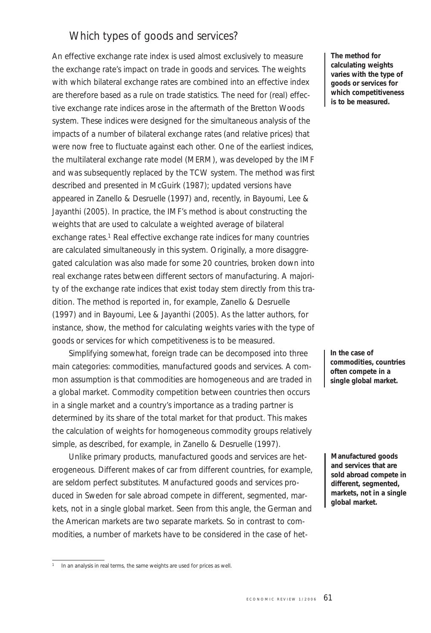## Which types of goods and services?

An effective exchange rate index is used almost exclusively to measure the exchange rate's impact on trade in goods and services. The weights with which bilateral exchange rates are combined into an effective index are therefore based as a rule on trade statistics. The need for (real) effective exchange rate indices arose in the aftermath of the Bretton Woods system. These indices were designed for the simultaneous analysis of the impacts of a number of bilateral exchange rates (and relative prices) that were now free to fluctuate against each other. One of the earliest indices, the multilateral exchange rate model (MERM), was developed by the IMF and was subsequently replaced by the TCW system. The method was first described and presented in McGuirk (1987); updated versions have appeared in Zanello & Desruelle (1997) and, recently, in Bayoumi, Lee & Jayanthi (2005). In practice, the IMF's method is about constructing the weights that are used to calculate a weighted average of bilateral exchange rates.<sup>1</sup> Real effective exchange rate indices for many countries are calculated simultaneously in this system. Originally, a more disaggregated calculation was also made for some 20 countries, broken down into real exchange rates between different sectors of manufacturing. A majority of the exchange rate indices that exist today stem directly from this tradition. The method is reported in, for example, Zanello & Desruelle (1997) and in Bayoumi, Lee & Jayanthi (2005). As the latter authors, for instance, show, the method for calculating weights varies with the type of goods or services for which competitiveness is to be measured.

Simplifying somewhat, foreign trade can be decomposed into three main categories: commodities, manufactured goods and services. A common assumption is that commodities are homogeneous and are traded in a global market. Commodity competition between countries then occurs in a single market and a country's importance as a trading partner is determined by its share of the total market for that product. This makes the calculation of weights for homogeneous commodity groups relatively simple, as described, for example, in Zanello & Desruelle (1997).

Unlike primary products, manufactured goods and services are heterogeneous. Different makes of car from different countries, for example, are seldom perfect substitutes. Manufactured goods and services produced in Sweden for sale abroad compete in different, segmented, markets, not in a single global market. Seen from this angle, the German and the American markets are two separate markets. So in contrast to commodities, a number of markets have to be considered in the case of het-

**The method for calculating weights varies with the type of goods or services for which competitiveness is to be measured.**

**In the case of commodities, countries often compete in a single global market.**

**Manufactured goods and services that are sold abroad compete in different, segmented, markets, not in a single global market.**

<sup>&</sup>lt;sup>1</sup> In an analysis in real terms, the same weights are used for prices as well.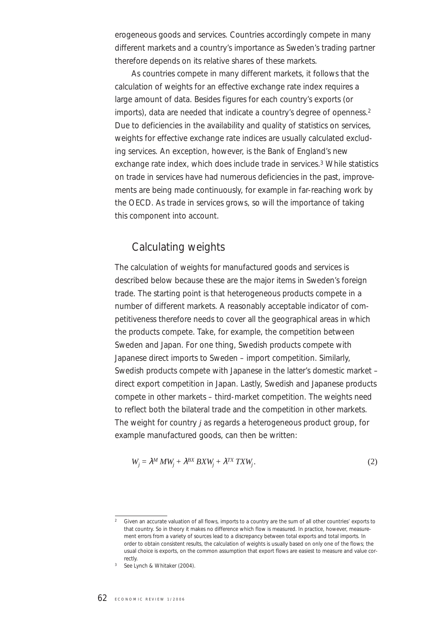erogeneous goods and services. Countries accordingly compete in many different markets and a country's importance as Sweden's trading partner therefore depends on its relative shares of these markets.

As countries compete in many different markets, it follows that the calculation of weights for an effective exchange rate index requires a large amount of data. Besides figures for each country's exports (or imports), data are needed that indicate a country's degree of openness.<sup>2</sup> Due to deficiencies in the availability and quality of statistics on services, weights for effective exchange rate indices are usually calculated excluding services. An exception, however, is the Bank of England's new exchange rate index, which does include trade in services.<sup>3</sup> While statistics on trade in services have had numerous deficiencies in the past, improvements are being made continuously, for example in far-reaching work by the OECD. As trade in services grows, so will the importance of taking this component into account.

# Calculating weights

The calculation of weights for manufactured goods and services is described below because these are the major items in Sweden's foreign trade. The starting point is that heterogeneous products compete in a number of different markets. A reasonably acceptable indicator of competitiveness therefore needs to cover all the geographical areas in which the products compete. Take, for example, the competition between Sweden and Japan. For one thing, Swedish products compete with Japanese direct imports to Sweden – import competition. Similarly, Swedish products compete with Japanese in the latter's domestic market – direct export competition in Japan. Lastly, Swedish and Japanese products compete in other markets – third-market competition. The weights need to reflect both the bilateral trade and the competition in other markets. The weight for country *j* as regards a heterogeneous product group, for example manufactured goods, can then be written:

$$
W_j = \lambda^M \, MW_j + \lambda^{BX} \, BXW_j + \lambda^{TX} \, TXW_j. \tag{2}
$$

<sup>2</sup> Given an accurate valuation of all flows, imports to a country are the sum of all other countries' exports to that country. So in theory it makes no difference which flow is measured. In practice, however, measurement errors from a variety of sources lead to a discrepancy between total exports and total imports. In order to obtain consistent results, the calculation of weights is usually based on only one of the flows; the usual choice is exports, on the common assumption that export flows are easiest to measure and value correctly.

<sup>3</sup> See Lynch & Whitaker (2004).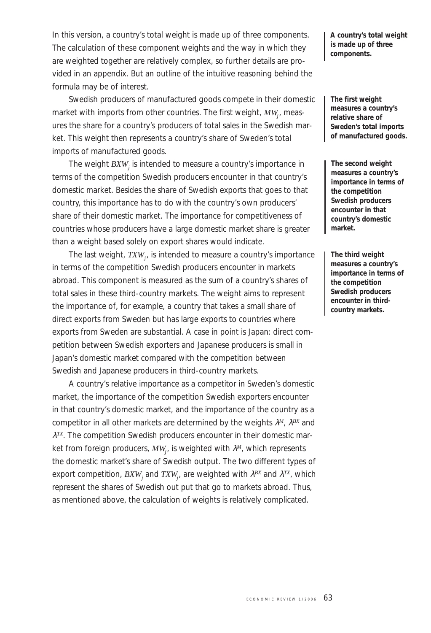In this version, a country's total weight is made up of three components. The calculation of these component weights and the way in which they are weighted together are relatively complex, so further details are provided in an appendix. But an outline of the intuitive reasoning behind the formula may be of interest.

Swedish producers of manufactured goods compete in their domestic market with imports from other countries. The first weight,  $MW_{j'}$  measures the share for a country's producers of total sales in the Swedish market. This weight then represents a country's share of Sweden's total imports of manufactured goods.

The weight *BXW<sub>i</sub>* is intended to measure a country's importance in terms of the competition Swedish producers encounter in that country's domestic market. Besides the share of Swedish exports that goes to that country, this importance has to do with the country's own producers' share of their domestic market. The importance for competitiveness of countries whose producers have a large domestic market share is greater than a weight based solely on export shares would indicate.

The last weight,  $\mathit{TXW}_j$ , is intended to measure a country's importance in terms of the competition Swedish producers encounter in markets abroad. This component is measured as the sum of a country's shares of total sales in these third-country markets. The weight aims to represent the importance of, for example, a country that takes a small share of direct exports from Sweden but has large exports to countries where exports from Sweden are substantial. A case in point is Japan: direct competition between Swedish exporters and Japanese producers is small in Japan's domestic market compared with the competition between Swedish and Japanese producers in third-country markets.

A country's relative importance as a competitor in Sweden's domestic market, the importance of the competition Swedish exporters encounter in that country's domestic market, and the importance of the country as a competitor in all other markets are determined by the weights λ*<sup>M</sup>*, λ*BX* and λ*TX*. The competition Swedish producers encounter in their domestic market from foreign producers,  $MW_{j\cdot}$  is weighted with  $\lambda^{\scriptscriptstyle M}$ , which represents the domestic market's share of Swedish output. The two different types of export competition,  $\mathit{BXW}_j$  and  $\mathit{TXW}_j$ , are weighted with  $\lambda^{\mathit{BX}}$  and  $\lambda^{\mathit{TX}}$ , which represent the shares of Swedish out put that go to markets abroad. Thus, as mentioned above, the calculation of weights is relatively complicated.

**A country's total weight is made up of three components.**

**The first weight measures a country's relative share of Sweden's total imports of manufactured goods.**

**The second weight measures a country's importance in terms of the competition Swedish producers encounter in that country's domestic market.**

**The third weight measures a country's importance in terms of the competition Swedish producers encounter in thirdcountry markets.**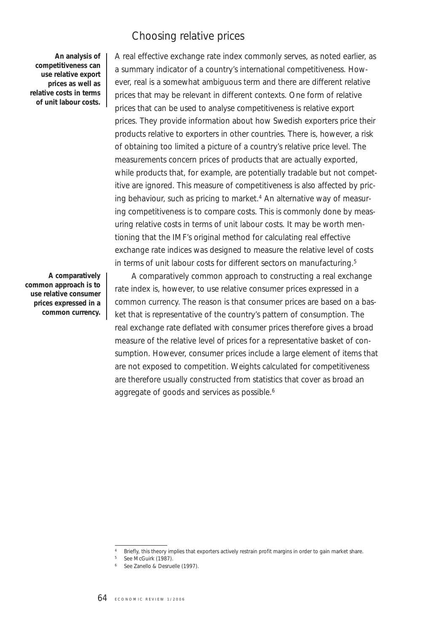### Choosing relative prices

**An analysis of competitiveness can use relative export prices as well as relative costs in terms of unit labour costs.**

**A comparatively common approach is to use relative consumer prices expressed in a common currency.**

A real effective exchange rate index commonly serves, as noted earlier, as a summary indicator of a country's international competitiveness. However, real is a somewhat ambiguous term and there are different relative prices that may be relevant in different contexts. One form of relative prices that can be used to analyse competitiveness is relative export prices. They provide information about how Swedish exporters price their products relative to exporters in other countries. There is, however, a risk of obtaining too limited a picture of a country's relative price level. The measurements concern prices of products that are actually exported, while products that, for example, are potentially tradable but not competitive are ignored. This measure of competitiveness is also affected by pricing behaviour, such as pricing to market.<sup>4</sup> An alternative way of measuring competitiveness is to compare costs. This is commonly done by measuring relative costs in terms of unit labour costs. It may be worth mentioning that the IMF's original method for calculating real effective exchange rate indices was designed to measure the relative level of costs in terms of unit labour costs for different sectors on manufacturing.5

A comparatively common approach to constructing a real exchange rate index is, however, to use relative consumer prices expressed in a common currency. The reason is that consumer prices are based on a basket that is representative of the country's pattern of consumption. The real exchange rate deflated with consumer prices therefore gives a broad measure of the relative level of prices for a representative basket of consumption. However, consumer prices include a large element of items that are not exposed to competition. Weights calculated for competitiveness are therefore usually constructed from statistics that cover as broad an aggregate of goods and services as possible.<sup>6</sup>

<sup>4</sup> Briefly, this theory implies that exporters actively restrain profit margins in order to gain market share.

<sup>&</sup>lt;sup>5</sup> See McGuirk (1987).

<sup>6</sup> See Zanello & Desruelle (1997).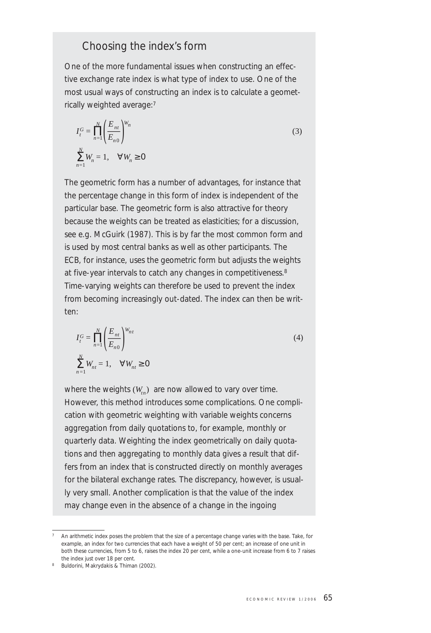#### Choosing the index's form

One of the more fundamental issues when constructing an effective exchange rate index is what type of index to use. One of the most usual ways of constructing an index is to calculate a geometrically weighted average:7

$$
I_t^G = \prod_{n=1}^N \left( \frac{E_{nt}}{E_{n0}} \right)^{W_n}
$$
  

$$
\sum_{n=1}^N W_n = 1, \quad \forall W_n \ge 0
$$
 (3)

The geometric form has a number of advantages, for instance that the percentage change in this form of index is independent of the particular base. The geometric form is also attractive for theory because the weights can be treated as elasticities; for a discussion, see e.g. McGuirk (1987). This is by far the most common form and is used by most central banks as well as other participants. The ECB, for instance, uses the geometric form but adjusts the weights at five-year intervals to catch any changes in competitiveness.<sup>8</sup> Time-varying weights can therefore be used to prevent the index from becoming increasingly out-dated. The index can then be written:

$$
I_t^G = \prod_{n=1}^N \left(\frac{E_{nt}}{E_{n0}}\right)^{W_{nt}}
$$
  

$$
\sum_{n=1}^N W_{nt} = 1, \quad \forall W_{nt} \ge 0
$$

where the weights  $(W_n)$  are now allowed to vary over time. However, this method introduces some complications. One complication with geometric weighting with variable weights concerns aggregation from daily quotations to, for example, monthly or quarterly data. Weighting the index geometrically on daily quotations and then aggregating to monthly data gives a result that differs from an index that is constructed directly on monthly averages for the bilateral exchange rates. The discrepancy, however, is usually very small. Another complication is that the value of the index may change even in the absence of a change in the ingoing

 $(4)$ 

<sup>7</sup> An arithmetic index poses the problem that the size of a percentage change varies with the base. Take, for example, an index for two currencies that each have a weight of 50 per cent; an increase of one unit in both these currencies, from 5 to 6, raises the index 20 per cent, while a one-unit increase from 6 to 7 raises the index just over 18 per cent.

<sup>8</sup> Buldorini, Makrydakis & Thiman (2002).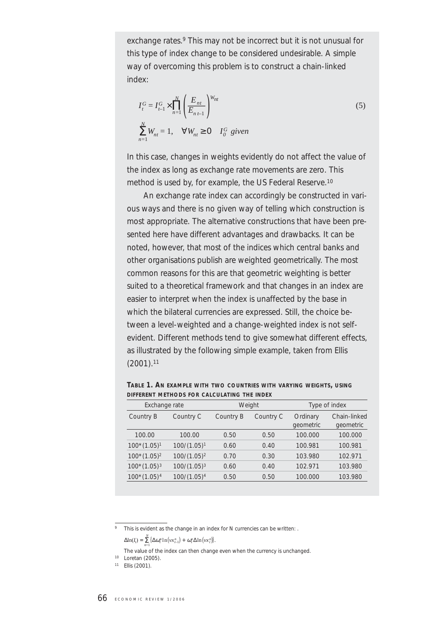exchange rates.<sup>9</sup> This may not be incorrect but it is not unusual for this type of index change to be considered undesirable. A simple way of overcoming this problem is to construct a chain-linked index:

$$
I_t^G = I_{t-1}^G \times \prod_{n=1}^N \left( \frac{E_{nt}}{E_{nt-1}} \right)^{W_{nt}}
$$
  

$$
\sum_{n=1}^N W_{nt} = 1, \quad \forall W_{nt} \ge 0 \quad I_0^G \text{ given}
$$
 (5)

In this case, changes in weights evidently do not affect the value of the index as long as exchange rate movements are zero. This method is used by, for example, the US Federal Reserve.10

An exchange rate index can accordingly be constructed in various ways and there is no given way of telling which construction is most appropriate. The alternative constructions that have been presented here have different advantages and drawbacks. It can be noted, however, that most of the indices which central banks and other organisations publish are weighted geometrically. The most common reasons for this are that geometric weighting is better suited to a theoretical framework and that changes in an index are easier to interpret when the index is unaffected by the base in which the bilateral currencies are expressed. Still, the choice between a level-weighted and a change-weighted index is not selfevident. Different methods tend to give somewhat different effects, as illustrated by the following simple example, taken from Ellis  $(2001).$ <sup>11</sup>

| Exchange rate  |                | Weight    |           | Type of index         |                           |
|----------------|----------------|-----------|-----------|-----------------------|---------------------------|
| Country B      | Country C      | Country B | Country C | Ordinary<br>geometric | Chain-linked<br>geometric |
| 100.00         | 100.00         | 0.50      | 0.50      | 100.000               | 100.000                   |
| $100*(1.05)^1$ | $100/(1.05)^1$ | 0.60      | 0.40      | 100.981               | 100.981                   |
| $100*(1.05)^2$ | $100/(1.05)^2$ | 0.70      | 0.30      | 103.980               | 102.971                   |
| $100*(1.05)^3$ | $100/(1.05)^3$ | 0.60      | 0.40      | 102.971               | 103.980                   |
| $100*(1.05)4$  | $100/(1.05)^4$ | 0.50      | 0.50      | 100.000               | 103.980                   |

**TABLE 1. AN EXAMPLE WITH TWO COUNTRIES WITH VARYING WEIGHTS, USING DIFFERENT METHODS FOR CALCULATING THE INDEX**

9 This is evident as the change in an index for N currencies can be written: .

 $\Delta \ln(I_t) = \sum_{l=1}^{N} \left\{ \Delta \omega_l^n \ln \left( \nu x_{t-1}^n \right) + \omega_l^n \Delta \ln \left( \nu x_l^n \right) \right\}.$ 

*n*=1 The value of the index can then change even when the currency is unchanged.

<sup>10</sup> Loretan (2005).

<sup>11</sup> Ellis (2001).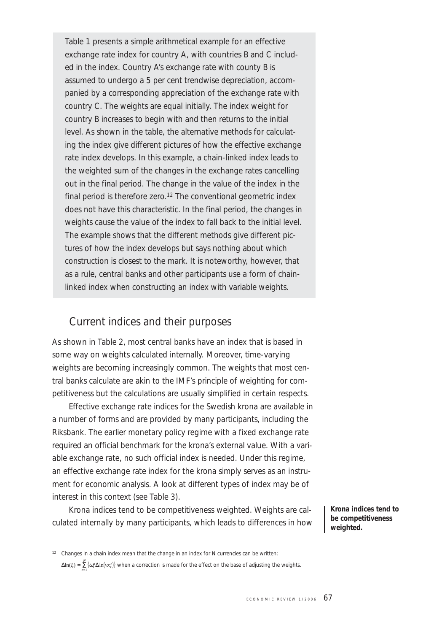Table 1 presents a simple arithmetical example for an effective exchange rate index for country A, with countries B and C included in the index. Country A's exchange rate with county B is assumed to undergo a 5 per cent trendwise depreciation, accompanied by a corresponding appreciation of the exchange rate with country C. The weights are equal initially. The index weight for country B increases to begin with and then returns to the initial level. As shown in the table, the alternative methods for calculating the index give different pictures of how the effective exchange rate index develops. In this example, a chain-linked index leads to the weighted sum of the changes in the exchange rates cancelling out in the final period. The change in the value of the index in the final period is therefore zero.<sup>12</sup> The conventional geometric index does not have this characteristic. In the final period, the changes in weights cause the value of the index to fall back to the initial level. The example shows that the different methods give different pictures of how the index develops but says nothing about which construction is closest to the mark. It is noteworthy, however, that as a rule, central banks and other participants use a form of chainlinked index when constructing an index with variable weights.

#### Current indices and their purposes

As shown in Table 2, most central banks have an index that is based in some way on weights calculated internally. Moreover, time-varying weights are becoming increasingly common. The weights that most central banks calculate are akin to the IMF's principle of weighting for competitiveness but the calculations are usually simplified in certain respects.

Effective exchange rate indices for the Swedish krona are available in a number of forms and are provided by many participants, including the Riksbank. The earlier monetary policy regime with a fixed exchange rate required an official benchmark for the krona's external value. With a variable exchange rate, no such official index is needed. Under this regime, an effective exchange rate index for the krona simply serves as an instrument for economic analysis. A look at different types of index may be of interest in this context (see Table 3).

Krona indices tend to be competitiveness weighted. Weights are calculated internally by many participants, which leads to differences in how **Krona indices tend to be competitiveness weighted.**

<sup>&</sup>lt;sup>12</sup> Changes in a chain index mean that the change in an index for N currencies can be written:  $\Delta ln(I_i) = \sum_{i=1}^{N} \{ \omega_i^n \Delta ln(v_i x_i^n) \}$  when a correction is made for the effect on the base of adjusting the weights. *n*=1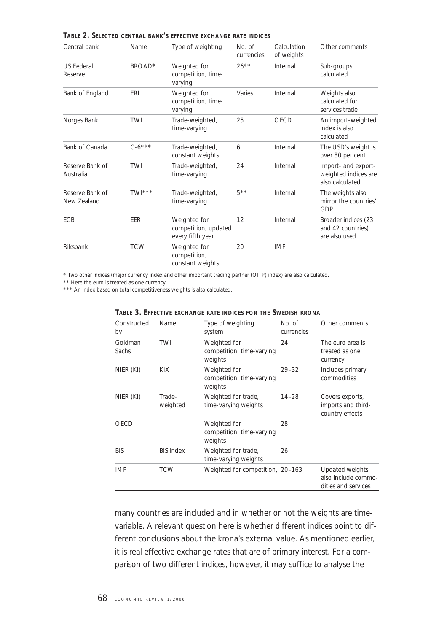| Central bank                   | Name        | Type of weighting                                        | No. of<br>currencies | Calculation<br>of weights | Other comments                                                 |
|--------------------------------|-------------|----------------------------------------------------------|----------------------|---------------------------|----------------------------------------------------------------|
| <b>US Federal</b><br>Reserve   | BROAD*      | Weighted for<br>competition, time-<br>varying            | $26***$              | Internal                  | Sub-groups<br>calculated                                       |
| Bank of England                | <b>ERI</b>  | Weighted for<br>competition, time-<br>varying            | Varies               | Internal                  | Weights also<br>calculated for<br>services trade               |
| Norges Bank                    | TWI         | Trade-weighted,<br>time-varying                          | 25                   | OECD                      | An import-weighted<br>index is also<br>calculated              |
| Bank of Canada                 | $C - 6$ *** | Trade-weighted,<br>constant weights                      | 6                    | Internal                  | The USD's weight is<br>over 80 per cent                        |
| Reserve Bank of<br>Australia   | <b>TWI</b>  | Trade-weighted,<br>time-varying                          | 24                   | Internal                  | Import- and export-<br>weighted indices are<br>also calculated |
| Reserve Bank of<br>New Zealand | TWI***      | Trade-weighted,<br>time-varying                          | $5**$                | Internal                  | The weights also<br>mirror the countries'<br>GDP               |
| <b>ECB</b>                     | EER         | Weighted for<br>competition, updated<br>every fifth year | 12                   | Internal                  | Broader indices (23<br>and 42 countries)<br>are also used      |
| Riksbank                       | <b>TCW</b>  | Weighted for<br>competition,<br>constant weights         | 20                   | <b>IMF</b>                |                                                                |

**TABLE 2. SELECTED CENTRAL BANK'S EFFECTIVE EXCHANGE RATE INDICES**

\* Two other indices (major currency index and other important trading partner (OITP) index) are also calculated. \*\* Here the euro is treated as one currency.

\*\*\* An index based on total competitiveness weights is also calculated.

| Constructed<br>by | Name               | Type of weighting<br>system                          | No. of<br>currencies | Other comments                                                |
|-------------------|--------------------|------------------------------------------------------|----------------------|---------------------------------------------------------------|
| Goldman<br>Sachs  | TWI                | Weighted for<br>competition, time-varying<br>weights | 24                   | The euro area is<br>treated as one<br>currency                |
| NIER (KI)         | <b>KIX</b>         | Weighted for<br>competition, time-varying<br>weights | $29 - 32$            | Includes primary<br>commodities                               |
| NIER (KI)         | Trade-<br>weighted | Weighted for trade,<br>time-varying weights          | $14 - 28$            | Covers exports,<br>imports and third-<br>country effects      |
| OECD              |                    | Weighted for<br>competition, time-varying<br>weights | 28                   |                                                               |
| <b>BIS</b>        | <b>BIS index</b>   | Weighted for trade,<br>time-varying weights          | 26                   |                                                               |
| <b>IMF</b>        | <b>TCW</b>         | Weighted for competition, 20-163                     |                      | Updated weights<br>also include commo-<br>dities and services |

**TABLE 3. EFFECTIVE EXCHANGE RATE INDICES FOR THE SWEDISH KRONA**

many countries are included and in whether or not the weights are timevariable. A relevant question here is whether different indices point to different conclusions about the krona's external value. As mentioned earlier, it is real effective exchange rates that are of primary interest. For a comparison of two different indices, however, it may suffice to analyse the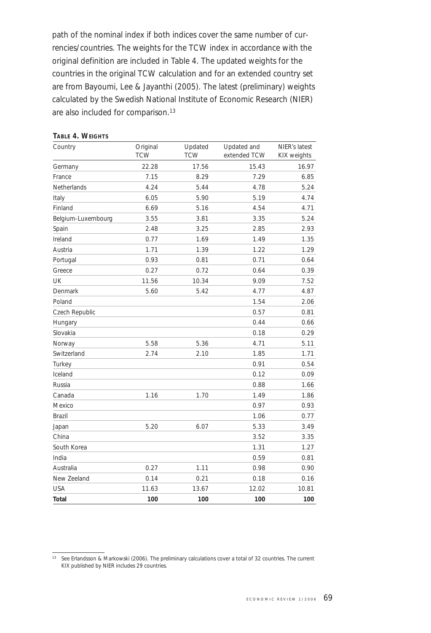path of the nominal index if both indices cover the same number of currencies/countries. The weights for the TCW index in accordance with the original definition are included in Table 4. The updated weights for the countries in the original TCW calculation and for an extended country set are from Bayoumi, Lee & Jayanthi (2005). The latest (preliminary) weights calculated by the Swedish National Institute of Economic Research (NIER) are also included for comparison.13

| Country            | Original   | Updated    | Updated and  | NIER's latest |
|--------------------|------------|------------|--------------|---------------|
|                    | <b>TCW</b> | <b>TCW</b> | extended TCW | KIX weights   |
| Germany            | 22.28      | 17.56      | 15.43        | 16.97         |
| France             | 7.15       | 8.29       | 7.29         | 6.85          |
| Netherlands        | 4.24       | 5.44       | 4.78         | 5.24          |
| Italy              | 6.05       | 5.90       | 5.19         | 4.74          |
| Finland            | 6.69       | 5.16       | 4.54         | 4.71          |
| Belgium-Luxembourg | 3.55       | 3.81       | 3.35         | 5.24          |
| Spain              | 2.48       | 3.25       | 2.85         | 2.93          |
| Ireland            | 0.77       | 1.69       | 1.49         | 1.35          |
| Austria            | 1.71       | 1.39       | 1.22         | 1.29          |
| Portugal           | 0.93       | 0.81       | 0.71         | 0.64          |
| Greece             | 0.27       | 0.72       | 0.64         | 0.39          |
| UK                 | 11.56      | 10.34      | 9.09         | 7.52          |
| Denmark            | 5.60       | 5.42       | 4.77         | 4.87          |
| Poland             |            |            | 1.54         | 2.06          |
| Czech Republic     |            |            | 0.57         | 0.81          |
| Hungary            |            |            | 0.44         | 0.66          |
| Slovakia           |            |            | 0.18         | 0.29          |
| Norway             | 5.58       | 5.36       | 4.71         | 5.11          |
| Switzerland        | 2.74       | 2.10       | 1.85         | 1.71          |
| Turkey             |            |            | 0.91         | 0.54          |
| Iceland            |            |            | 0.12         | 0.09          |
| Russia             |            |            | 0.88         | 1.66          |
| Canada             | 1.16       | 1.70       | 1.49         | 1.86          |
| Mexico             |            |            | 0.97         | 0.93          |
| <b>Brazil</b>      |            |            | 1.06         | 0.77          |
| Japan              | 5.20       | 6.07       | 5.33         | 3.49          |
| China              |            |            | 3.52         | 3.35          |
| South Korea        |            |            | 1.31         | 1.27          |
| India              |            |            | 0.59         | 0.81          |
| Australia          | 0.27       | 1.11       | 0.98         | 0.90          |
| New Zeeland        | 0.14       | 0.21       | 0.18         | 0.16          |
| <b>USA</b>         | 11.63      | 13.67      | 12.02        | 10.81         |
| <b>Total</b>       | 100        | 100        | 100          | 100           |

**TABLE 4. WEIGHTS**

<sup>13</sup> See Erlandsson & Markowski (2006). The preliminary calculations cover a total of 32 countries. The current KIX published by NIER includes 29 countries.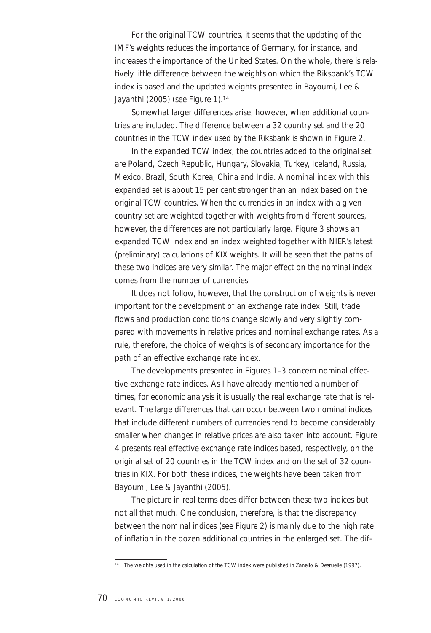For the original TCW countries, it seems that the updating of the IMF's weights reduces the importance of Germany, for instance, and increases the importance of the United States. On the whole, there is relatively little difference between the weights on which the Riksbank's TCW index is based and the updated weights presented in Bayoumi, Lee & Jayanthi (2005) (see Figure 1).<sup>14</sup>

Somewhat larger differences arise, however, when additional countries are included. The difference between a 32 country set and the 20 countries in the TCW index used by the Riksbank is shown in Figure 2.

In the expanded TCW index, the countries added to the original set are Poland, Czech Republic, Hungary, Slovakia, Turkey, Iceland, Russia, Mexico, Brazil, South Korea, China and India. A nominal index with this expanded set is about 15 per cent stronger than an index based on the original TCW countries. When the currencies in an index with a given country set are weighted together with weights from different sources, however, the differences are not particularly large. Figure 3 shows an expanded TCW index and an index weighted together with NIER's latest (preliminary) calculations of KIX weights. It will be seen that the paths of these two indices are very similar. The major effect on the nominal index comes from the number of currencies.

It does not follow, however, that the construction of weights is never important for the development of an exchange rate index. Still, trade flows and production conditions change slowly and very slightly compared with movements in relative prices and nominal exchange rates. As a rule, therefore, the choice of weights is of secondary importance for the path of an effective exchange rate index.

The developments presented in Figures 1–3 concern nominal effective exchange rate indices. As I have already mentioned a number of times, for economic analysis it is usually the real exchange rate that is relevant. The large differences that can occur between two nominal indices that include different numbers of currencies tend to become considerably smaller when changes in relative prices are also taken into account. Figure 4 presents real effective exchange rate indices based, respectively, on the original set of 20 countries in the TCW index and on the set of 32 countries in KIX. For both these indices, the weights have been taken from Bayoumi, Lee & Jayanthi (2005).

The picture in real terms does differ between these two indices but not all that much. One conclusion, therefore, is that the discrepancy between the nominal indices (see Figure 2) is mainly due to the high rate of inflation in the dozen additional countries in the enlarged set. The dif-

<sup>14</sup> The weights used in the calculation of the TCW index were published in Zanello & Desruelle (1997).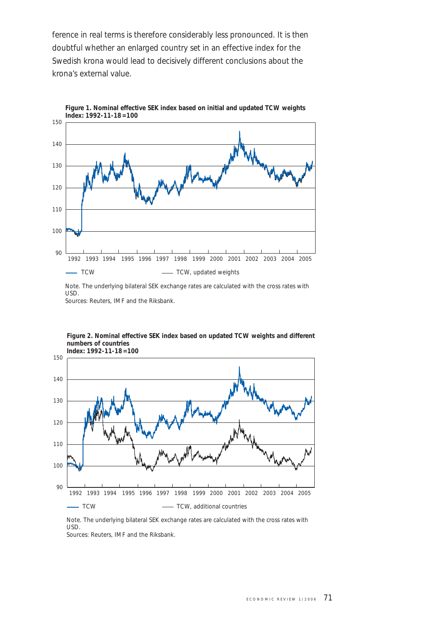ference in real terms is therefore considerably less pronounced. It is then doubtful whether an enlarged country set in an effective index for the Swedish krona would lead to decisively different conclusions about the krona's external value.



**Figure 1. Nominal effective SEK index based on initial and updated TCW weights Index: 1992-11-18=100**

Note. The underlying bilateral SEK exchange rates are calculated with the cross rates with USD. Sources: Reuters, IMF and the Riksbank.



**Figure 2. Nominal effective SEK index based on updated TCW weights and different numbers of countries**

Note. The underlying bilateral SEK exchange rates are calculated with the cross rates with USD.

Sources: Reuters, IMF and the Riksbank.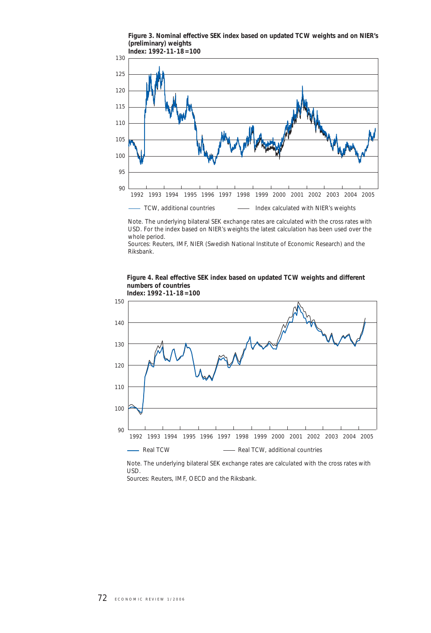**Figure 3. Nominal effective SEK index based on updated TCW weights and on NIER's (preliminary) weights** 



Note. The underlying bilateral SEK exchange rates are calculated with the cross rates with USD. For the index based on NIER's weights the latest calculation has been used over the whole period.

Sources: Reuters, IMF, NIER (Swedish National Institute of Economic Research) and the Riksbank.

#### **Figure 4. Real effective SEK index based on updated TCW weights and different numbers of countries**





Note. The underlying bilateral SEK exchange rates are calculated with the cross rates with USD. Sources: Reuters, IMF, OECD and the Riksbank.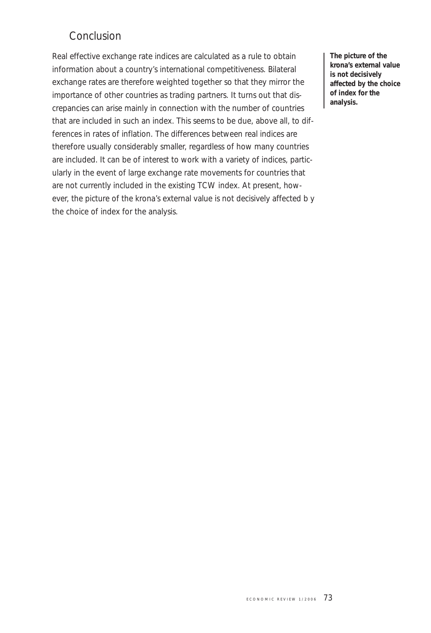# Conclusion

Real effective exchange rate indices are calculated as a rule to obtain information about a country's international competitiveness. Bilateral exchange rates are therefore weighted together so that they mirror the importance of other countries as trading partners. It turns out that discrepancies can arise mainly in connection with the number of countries that are included in such an index. This seems to be due, above all, to differences in rates of inflation. The differences between real indices are therefore usually considerably smaller, regardless of how many countries are included. It can be of interest to work with a variety of indices, particularly in the event of large exchange rate movements for countries that are not currently included in the existing TCW index. At present, however, the picture of the krona's external value is not decisively affected b y the choice of index for the analysis.

**The picture of the krona's external value is not decisively affected by the choice of index for the analysis.**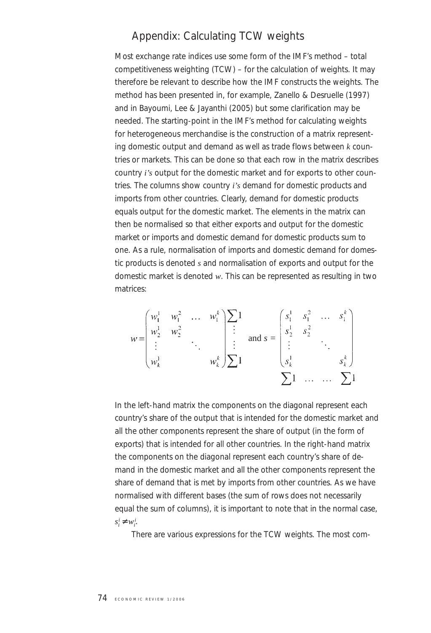### Appendix: Calculating TCW weights

Most exchange rate indices use some form of the IMF's method – total competitiveness weighting (TCW) – for the calculation of weights. It may therefore be relevant to describe how the IMF constructs the weights. The method has been presented in, for example, Zanello & Desruelle (1997) and in Bayoumi, Lee & Jayanthi (2005) but some clarification may be needed. The starting-point in the IMF's method for calculating weights for heterogeneous merchandise is the construction of a matrix representing domestic output and demand as well as trade flows between *k* countries or markets. This can be done so that each row in the matrix describes country *i's* output for the domestic market and for exports to other countries. The columns show country *i's* demand for domestic products and imports from other countries. Clearly, demand for domestic products equals output for the domestic market. The elements in the matrix can then be normalised so that either exports and output for the domestic market or imports and domestic demand for domestic products sum to one. As a rule, normalisation of imports and domestic demand for domestic products is denoted *s* and normalisation of exports and output for the domestic market is denoted *w*. This can be represented as resulting in two matrices:

$$
w = \begin{pmatrix} w_1^1 & w_1^2 & \dots & w_1^k \\ w_2^1 & w_2^2 & & \vdots \\ \vdots & & \ddots & \vdots \\ w_k^1 & & & w_k^k \end{pmatrix} \begin{bmatrix} \sum 1 \\ \vdots \\ \sum 1 \end{bmatrix} \text{ and } s = \begin{pmatrix} s_1^1 & s_1^2 & \dots & s_1^k \\ s_2^1 & s_2^2 & & \vdots \\ \vdots & & \ddots & \vdots \\ s_k^1 & & & s_k^k \end{pmatrix}
$$

$$
\sum 1 \quad \dots \quad \dots \quad \sum 1
$$

In the left-hand matrix the components on the diagonal represent each country's share of the output that is intended for the domestic market and all the other components represent the share of output (in the form of exports) that is intended for all other countries. In the right-hand matrix the components on the diagonal represent each country's share of demand in the domestic market and all the other components represent the share of demand that is met by imports from other countries. As we have normalised with different bases (the sum of rows does not necessarily equal the sum of columns), it is important to note that in the normal case,  $s_i^i \neq w_i^i$ .

There are various expressions for the TCW weights. The most com-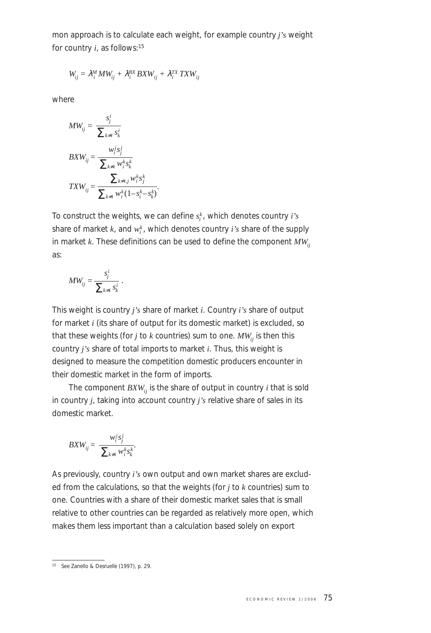mon approach is to calculate each weight, for example country *j's* weight for country *i*, as follows:15

$$
W_{ij} = \lambda_i^M M W_{ij} + \lambda_i^{BX} B X W_{ij} + \lambda_i^{TX} T X W_{ij}
$$

where

$$
MW_{ij} = \frac{s_j^i}{\sum_{k \neq i} s_k^i}
$$
  
\n
$$
BXW_{ij} = \frac{w_i^j s_j^j}{\sum_{k \neq i} w_i^k s_k^k}
$$
  
\n
$$
TXW_{ij} = \frac{\sum_{k \neq i} w_i^k s_j^k}{\sum_{k \neq i} w_i^k (1 - s_i^k - s_k^k)}
$$

To construct the weights, we can define  $s_i^k$ , which denotes country *i's* share of market  $k$ , and  $w_i^k$ , which denotes country  $i$ 's share of the supply in market  $k$ . These definitions can be used to define the component  $MW_{ii}$ as:

$$
MW_{ij} = \frac{s_j^i}{\sum_{k \neq i} s_k^i}.
$$

This weight is country *j's* share of market *i*. Country *i's* share of output for market *i* (its share of output for its domestic market) is excluded, so that these weights (for  $j$  to  $k$  countries) sum to one.  $MW_{ij}$  is then this country *j's* share of total imports to market *i*. Thus, this weight is designed to measure the competition domestic producers encounter in their domestic market in the form of imports.

The component  $B X W_{ii}$  is the share of output in country  $i$  that is sold in country *j*, taking into account country *j's* relative share of sales in its domestic market.

$$
B X W_{ij} = \frac{w_i^j s_j^j}{\sum_{k \neq i} w_i^k s_k^k}.
$$

As previously, country *i's* own output and own market shares are excluded from the calculations, so that the weights (for *j* to *k* countries) sum to one. Countries with a share of their domestic market sales that is small relative to other countries can be regarded as relatively more open, which makes them less important than a calculation based solely on export

<sup>15</sup> See Zanello & Desruelle (1997), p. 29.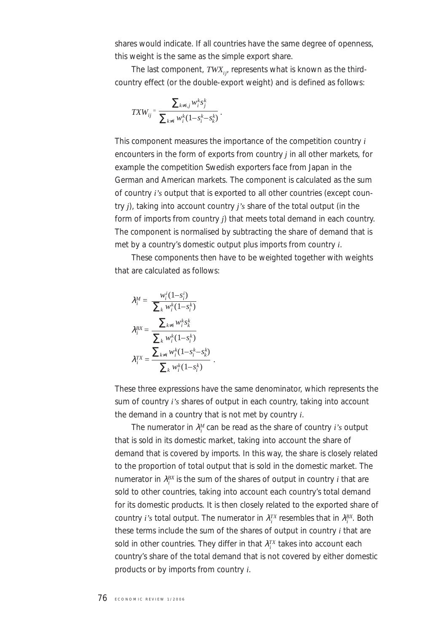shares would indicate. If all countries have the same degree of openness, this weight is the same as the simple export share.

The last component, *TWX<sub>ij</sub>*, represents what is known as the thirdcountry effect (or the double-export weight) and is defined as follows:

$$
T X W_{ij} = \frac{\sum_{k \neq i,j} w_i^k s_j^k}{\sum_{k \neq i} w_i^k (1 - s_i^k - s_k^k)}.
$$

This component measures the importance of the competition country *i* encounters in the form of exports from country *j* in all other markets, for example the competition Swedish exporters face from Japan in the German and American markets. The component is calculated as the sum of country *i's* output that is exported to all other countries (except country *j*), taking into account country *j's* share of the total output (in the form of imports from country *j*) that meets total demand in each country. The component is normalised by subtracting the share of demand that is met by a country's domestic output plus imports from country *i*.

These components then have to be weighted together with weights that are calculated as follows:

$$
\lambda_i^M = \frac{w_i^i (1 - s_i^i)}{\sum_k w_i^k (1 - s_i^k)}
$$

$$
\lambda_i^{BX} = \frac{\sum_{k \neq i} w_i^k s_k^k}{\sum_k w_i^k (1 - s_i^k)}
$$

$$
\lambda_i^{TX} = \frac{\sum_{k \neq i} w_i^k (1 - s_i^k - s_k^k)}{\sum_k w_i^k (1 - s_i^k)}.
$$

These three expressions have the same denominator, which represents the sum of country *i's* shares of output in each country, taking into account the demand in a country that is not met by country *i*.

The numerator in λ*<sup>M</sup> <sup>i</sup>* can be read as the share of country *i's* output that is sold in its domestic market, taking into account the share of demand that is covered by imports. In this way, the share is closely related to the proportion of total output that is sold in the domestic market. The numerator in  $λ_i^{BX}$  is the sum of the shares of output in country *i* that are sold to other countries, taking into account each country's total demand for its domestic products. It is then closely related to the exported share of country *i's* total output. The numerator in  $\lambda_i^{TX}$  resembles that in  $\lambda_i^{BX}$ . Both these terms include the sum of the shares of output in country *i* that are sold in other countries. They differ in that  $\lambda_i^{TX}$  takes into account each country's share of the total demand that is not covered by either domestic products or by imports from country *i*.